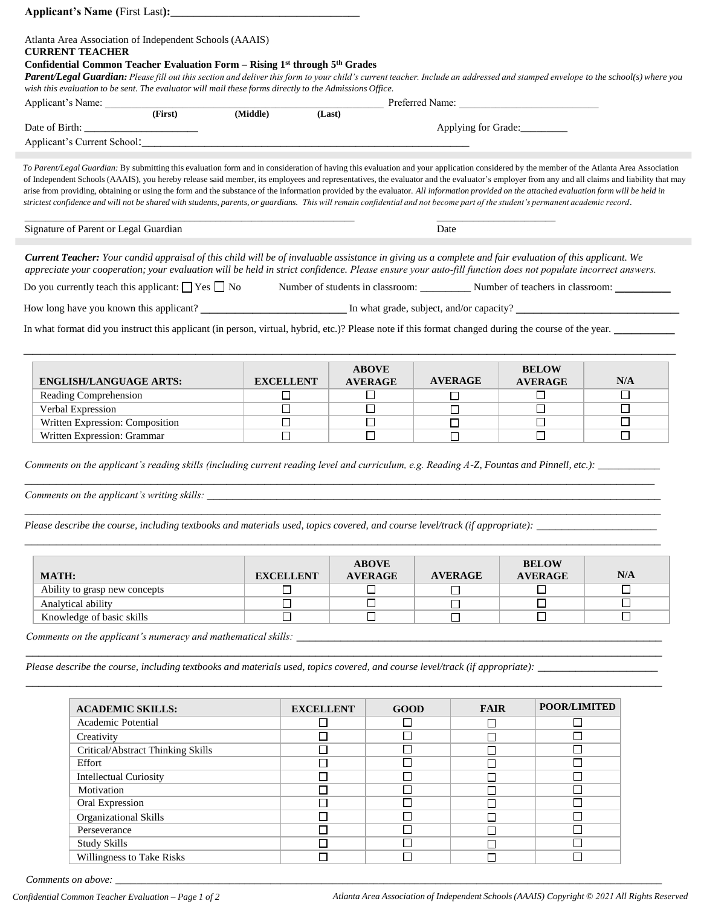| Atlanta Area Association of Independent Schools (AAAIS)                                                                                                                                      |                     |                  |                |                |             |                |              |                |        |
|----------------------------------------------------------------------------------------------------------------------------------------------------------------------------------------------|---------------------|------------------|----------------|----------------|-------------|----------------|--------------|----------------|--------|
| <b>CURRENT TEACHER</b>                                                                                                                                                                       |                     |                  |                |                |             |                |              |                |        |
| Confidential Common Teacher Evaluation Form – Rising $1st$ through $5th$ Grades                                                                                                              |                     |                  |                |                |             |                |              |                |        |
| Parent/Legal Guardian: Please fill out this section and deliver this form to your child's current teacher. Include an addressed and stamped envelope to the school(s) where you              |                     |                  |                |                |             |                |              |                |        |
| wish this evaluation to be sent. The evaluator will mail these forms directly to the Admissions Office.                                                                                      |                     |                  |                |                |             |                |              |                |        |
| WISH THIS COME.<br>Applicant's Name: (First)                                                                                                                                                 | (Middle)            | (Last)           |                |                |             |                |              |                |        |
|                                                                                                                                                                                              |                     |                  |                |                |             |                |              |                |        |
| Applicant's Current School: Manual Applicant's Current School:                                                                                                                               | Applying for Grade: |                  |                |                |             |                |              |                |        |
|                                                                                                                                                                                              |                     |                  |                |                |             |                |              |                |        |
| To Parent/Legal Guardian: By submitting this evaluation form and in consideration of having this evaluation and your application considered by the member of the Atlanta Area Association    |                     |                  |                |                |             |                |              |                |        |
| of Independent Schools (AAAIS), you hereby release said member, its employees and representatives, the evaluator and the evaluator's employer from any and all claims and liability that may |                     |                  |                |                |             |                |              |                |        |
| arise from providing, obtaining or using the form and the substance of the information provided by the evaluator. All information provided on the attached evaluation form will be held in   |                     |                  |                |                |             |                |              |                |        |
| strictest confidence and will not be shared with students, parents, or guardians. This will remain confidential and not become part of the student's permanent academic record.              |                     |                  |                |                |             |                |              |                |        |
| Signature of Parent or Legal Guardian                                                                                                                                                        |                     |                  |                |                |             |                |              |                |        |
|                                                                                                                                                                                              | Date                |                  |                |                |             |                |              |                |        |
| <b>Current Teacher:</b> Your candid appraisal of this child will be of invaluable assistance in giving us a complete and fair evaluation of this applicant. We                               |                     |                  |                |                |             |                |              |                |        |
| appreciate your cooperation; your evaluation will be held in strict confidence. Please ensure your auto-fill function does not populate incorrect answers.                                   |                     |                  |                |                |             |                |              |                |        |
| Do you currently teach this applicant: $\Box$ Yes $\Box$ No Number of students in classroom: Number of teachers in classroom:                                                                |                     |                  |                |                |             |                |              |                |        |
|                                                                                                                                                                                              |                     |                  |                |                |             |                |              |                |        |
|                                                                                                                                                                                              |                     |                  |                |                |             |                |              |                |        |
| In what format did you instruct this applicant (in person, virtual, hybrid, etc.)? Please note if this format changed during the course of the year.                                         |                     |                  |                |                |             |                |              |                |        |
|                                                                                                                                                                                              |                     |                  |                |                |             |                |              |                |        |
|                                                                                                                                                                                              |                     |                  |                |                |             |                |              |                |        |
|                                                                                                                                                                                              |                     |                  |                | <b>ABOVE</b>   |             |                |              | <b>BELOW</b>   |        |
| <b>ENGLISH/LANGUAGE ARTS:</b>                                                                                                                                                                |                     | <b>EXCELLENT</b> | <b>AVERAGE</b> |                |             | <b>AVERAGE</b> |              | <b>AVERAGE</b> | N/A    |
| Reading Comprehension                                                                                                                                                                        |                     | $\Box$           | $\Box$         |                |             | □              |              | □              | □      |
| Verbal Expression                                                                                                                                                                            |                     | $\Box$           | □              |                |             | $\Box$         |              | $\Box$         | □      |
| Written Expression: Composition                                                                                                                                                              |                     | $\Box$           | □              |                |             | □              |              | □              | □      |
| Written Expression: Grammar                                                                                                                                                                  |                     | $\Box$           | $\Box$         |                |             | $\Box$         |              | $\Box$         | $\Box$ |
|                                                                                                                                                                                              |                     |                  |                |                |             |                |              |                |        |
|                                                                                                                                                                                              |                     |                  |                |                |             |                |              |                |        |
|                                                                                                                                                                                              |                     |                  |                |                |             |                |              |                |        |
|                                                                                                                                                                                              |                     |                  |                |                |             |                |              |                |        |
|                                                                                                                                                                                              |                     |                  |                |                |             |                |              |                |        |
|                                                                                                                                                                                              |                     |                  |                |                |             |                |              |                |        |
|                                                                                                                                                                                              |                     |                  |                |                |             |                |              |                |        |
|                                                                                                                                                                                              |                     |                  |                |                |             |                |              |                |        |
|                                                                                                                                                                                              |                     |                  |                | <b>ABOVE</b>   |             |                |              | <b>BELOW</b>   |        |
| <b>MATH:</b>                                                                                                                                                                                 |                     | <b>EXCELLENT</b> |                | <b>AVERAGE</b> |             | <b>AVERAGE</b> |              | <b>AVERAGE</b> | N/A    |
| Ability to grasp new concepts                                                                                                                                                                |                     | □                |                | □              |             | $\Box$         |              | $\Box$         | □      |
| Analytical ability                                                                                                                                                                           |                     | $\Box$           | $\Box$         |                |             | $\Box$         |              | $\Box$         | $\Box$ |
| Knowledge of basic skills                                                                                                                                                                    |                     | $\Box$           |                | $\Box$         |             | $\Box$         |              | $\Box$         | П      |
|                                                                                                                                                                                              |                     |                  |                |                |             |                |              |                |        |
| Comments on the applicant's numeracy and mathematical skills: __________________                                                                                                             |                     |                  |                |                |             |                |              |                |        |
|                                                                                                                                                                                              |                     |                  |                |                |             |                |              |                |        |
|                                                                                                                                                                                              |                     |                  |                |                |             |                |              |                |        |
|                                                                                                                                                                                              |                     |                  |                |                |             |                |              |                |        |
|                                                                                                                                                                                              |                     |                  |                |                |             |                |              |                |        |
| <b>ACADEMIC SKILLS:</b>                                                                                                                                                                      |                     | <b>EXCELLENT</b> | <b>GOOD</b>    |                | <b>FAIR</b> |                | POOR/LIMITED |                |        |
| Academic Potential                                                                                                                                                                           |                     | ப                |                | ப              |             | $\Box$         |              | ⊔              |        |
| Creativity                                                                                                                                                                                   |                     | □                |                | $\Box$         |             | $\Box$         |              | $\Box$         |        |
| Critical/Abstract Thinking Skills                                                                                                                                                            |                     | □                | $\Box$         |                | $\Box$      |                |              | $\Box$         |        |
| Effort                                                                                                                                                                                       | $\Box$              |                  |                | $\Box$         |             | $\Box$         |              | $\Box$         |        |
| <b>Intellectual Curiosity</b>                                                                                                                                                                |                     | $\Box$           |                | $\Box$         |             | $\Box$         |              | $\Box$         |        |
| Motivation                                                                                                                                                                                   |                     | $\Box$           |                | $\Box$         |             | □              |              | $\Box$         |        |
| Oral Expression                                                                                                                                                                              |                     | $\Box$           |                | $\Box$         |             | П              |              | $\Box$         |        |
|                                                                                                                                                                                              |                     |                  |                |                |             |                |              |                |        |

 $\Box$ 

 $\overline{\square}$ 

 $\Box$ 

 $\overline{\Box}$ 

 $\overline{\square}$ 

 $\overline{\square}$ 

 $\boxed{\Box}$ 

 $\overline{\square}$ 

*Comments on above:* 

Willingness to Take Risks

Oral Expression Organizational Skills Perseverance Study Skills

 $\Box$ 

 $\Box$ 

 $\Box$ 

 $\overline{\Box}$ 

 $\bar{\bar{\mathsf{D}}}$ 

 $\overline{\square}$ 

 $\overline{\square}$ 

 $\overline{\Box}$